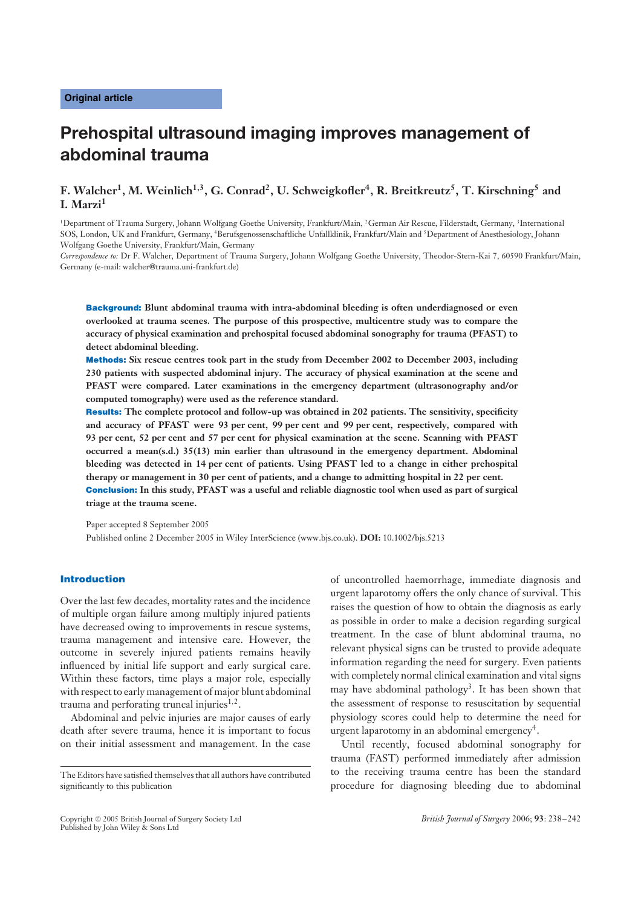# **Prehospital ultrasound imaging improves management of abdominal trauma**

# **F. Walcher1, M. Weinlich1,3, G. Conrad2, U. Schweigkofler4, R. Breitkreutz5, T. Kirschning5 and I. Marzi<sup>1</sup>**

<sup>1</sup>Department of Trauma Surgery, Johann Wolfgang Goethe University, Frankfurt/Main, <sup>2</sup>German Air Rescue, Filderstadt, Germany, <sup>3</sup>International SOS, London, UK and Frankfurt, Germany, 4Berufsgenossenschaftliche Unfallklinik, Frankfurt/Main and 5Department of Anesthesiology, Johann Wolfgang Goethe University, Frankfurt/Main, Germany

*Correspondence to:* Dr F. Walcher, Department of Trauma Surgery, Johann Wolfgang Goethe University, Theodor-Stern-Kai 7, 60590 Frankfurt/Main, Germany (e-mail: walcher@trauma.uni-frankfurt.de)

Background: **Blunt abdominal trauma with intra-abdominal bleeding is often underdiagnosed or even overlooked at trauma scenes. The purpose of this prospective, multicentre study was to compare the accuracy of physical examination and prehospital focused abdominal sonography for trauma (PFAST) to detect abdominal bleeding.**

Methods: **Six rescue centres took part in the study from December 2002 to December 2003, including 230 patients with suspected abdominal injury. The accuracy of physical examination at the scene and PFAST were compared. Later examinations in the emergency department (ultrasonography and/or computed tomography) were used as the reference standard.**

Results: **The complete protocol and follow-up was obtained in 202 patients. The sensitivity, specificity and accuracy of PFAST were 93 per cent, 99 per cent and 99 per cent, respectively, compared with 93 per cent, 52 per cent and 57 per cent for physical examination at the scene. Scanning with PFAST occurred a mean(s.d.) 35(13) min earlier than ultrasound in the emergency department. Abdominal bleeding was detected in 14 per cent of patients. Using PFAST led to a change in either prehospital therapy or management in 30 per cent of patients, and a change to admitting hospital in 22 per cent.** Conclusion: **In this study, PFAST was a useful and reliable diagnostic tool when used as part of surgical triage at the trauma scene.**

Paper accepted 8 September 2005 Published online 2 December 2005 in Wiley InterScience (www.bjs.co.uk). **DOI:** 10.1002/bjs.5213

### Introduction

Over the last few decades, mortality rates and the incidence of multiple organ failure among multiply injured patients have decreased owing to improvements in rescue systems, trauma management and intensive care. However, the outcome in severely injured patients remains heavily influenced by initial life support and early surgical care. Within these factors, time plays a major role, especially with respect to early management of major blunt abdominal trauma and perforating truncal injuries $1,2$ .

Abdominal and pelvic injuries are major causes of early death after severe trauma, hence it is important to focus on their initial assessment and management. In the case

of uncontrolled haemorrhage, immediate diagnosis and urgent laparotomy offers the only chance of survival. This raises the question of how to obtain the diagnosis as early as possible in order to make a decision regarding surgical treatment. In the case of blunt abdominal trauma, no relevant physical signs can be trusted to provide adequate information regarding the need for surgery. Even patients with completely normal clinical examination and vital signs may have abdominal pathology<sup>3</sup>. It has been shown that the assessment of response to resuscitation by sequential physiology scores could help to determine the need for urgent laparotomy in an abdominal emergency<sup>4</sup>.

Until recently, focused abdominal sonography for trauma (FAST) performed immediately after admission to the receiving trauma centre has been the standard procedure for diagnosing bleeding due to abdominal

The Editors have satisfied themselves that all authors have contributed significantly to this publication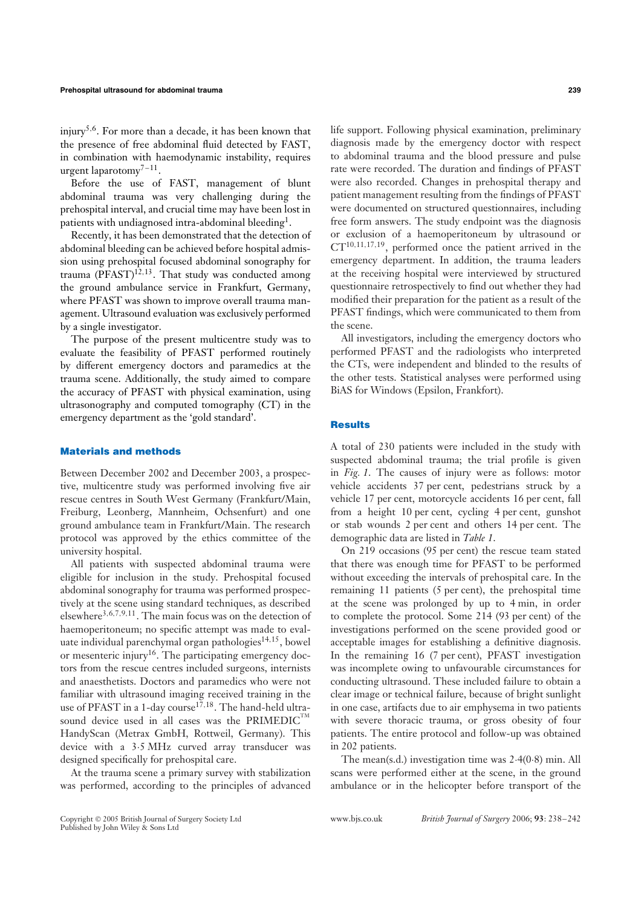injury<sup>5,6</sup>. For more than a decade, it has been known that the presence of free abdominal fluid detected by FAST, in combination with haemodynamic instability, requires urgent laparotomy<sup>7-11</sup>.

Before the use of FAST, management of blunt abdominal trauma was very challenging during the prehospital interval, and crucial time may have been lost in patients with undiagnosed intra-abdominal bleeding<sup>1</sup>.

Recently, it has been demonstrated that the detection of abdominal bleeding can be achieved before hospital admission using prehospital focused abdominal sonography for trauma  $(\overline{PFAST})^{12,13}$ . That study was conducted among the ground ambulance service in Frankfurt, Germany, where PFAST was shown to improve overall trauma management. Ultrasound evaluation was exclusively performed by a single investigator.

The purpose of the present multicentre study was to evaluate the feasibility of PFAST performed routinely by different emergency doctors and paramedics at the trauma scene. Additionally, the study aimed to compare the accuracy of PFAST with physical examination, using ultrasonography and computed tomography (CT) in the emergency department as the 'gold standard'.

#### Materials and methods

Between December 2002 and December 2003, a prospective, multicentre study was performed involving five air rescue centres in South West Germany (Frankfurt/Main, Freiburg, Leonberg, Mannheim, Ochsenfurt) and one ground ambulance team in Frankfurt/Main. The research protocol was approved by the ethics committee of the university hospital.

All patients with suspected abdominal trauma were eligible for inclusion in the study. Prehospital focused abdominal sonography for trauma was performed prospectively at the scene using standard techniques, as described elsewhere<sup>3,6,7,9,11</sup>. The main focus was on the detection of haemoperitoneum; no specific attempt was made to evaluate individual parenchymal organ pathologies<sup>14,15</sup>, bowel or mesenteric injury<sup>16</sup>. The participating emergency doctors from the rescue centres included surgeons, internists and anaesthetists. Doctors and paramedics who were not familiar with ultrasound imaging received training in the use of PFAST in a 1-day course<sup>17,18</sup>. The hand-held ultrasound device used in all cases was the  $\mathsf{PRIMEDIC}^{\mathsf{TM}}$ HandyScan (Metrax GmbH, Rottweil, Germany). This device with a 3·5 MHz curved array transducer was designed specifically for prehospital care.

At the trauma scene a primary survey with stabilization was performed, according to the principles of advanced life support. Following physical examination, preliminary diagnosis made by the emergency doctor with respect to abdominal trauma and the blood pressure and pulse rate were recorded. The duration and findings of PFAST were also recorded. Changes in prehospital therapy and patient management resulting from the findings of PFAST were documented on structured questionnaires, including free form answers. The study endpoint was the diagnosis or exclusion of a haemoperitoneum by ultrasound or CT10,11,17,19, performed once the patient arrived in the

emergency department. In addition, the trauma leaders at the receiving hospital were interviewed by structured questionnaire retrospectively to find out whether they had modified their preparation for the patient as a result of the PFAST findings, which were communicated to them from the scene.

All investigators, including the emergency doctors who performed PFAST and the radiologists who interpreted the CTs, were independent and blinded to the results of the other tests. Statistical analyses were performed using BiAS for Windows (Epsilon, Frankfort).

#### **Results**

A total of 230 patients were included in the study with suspected abdominal trauma; the trial profile is given in *Fig. 1*. The causes of injury were as follows: motor vehicle accidents 37 per cent, pedestrians struck by a vehicle 17 per cent, motorcycle accidents 16 per cent, fall from a height 10 per cent, cycling 4 per cent, gunshot or stab wounds 2 per cent and others 14 per cent. The demographic data are listed in *Table 1*.

On 219 occasions (95 per cent) the rescue team stated that there was enough time for PFAST to be performed without exceeding the intervals of prehospital care. In the remaining 11 patients (5 per cent), the prehospital time at the scene was prolonged by up to 4 min, in order to complete the protocol. Some 214 (93 per cent) of the investigations performed on the scene provided good or acceptable images for establishing a definitive diagnosis. In the remaining 16 (7 per cent), PFAST investigation was incomplete owing to unfavourable circumstances for conducting ultrasound. These included failure to obtain a clear image or technical failure, because of bright sunlight in one case, artifacts due to air emphysema in two patients with severe thoracic trauma, or gross obesity of four patients. The entire protocol and follow-up was obtained in 202 patients.

The mean(s.d.) investigation time was 2·4(0·8) min. All scans were performed either at the scene, in the ground ambulance or in the helicopter before transport of the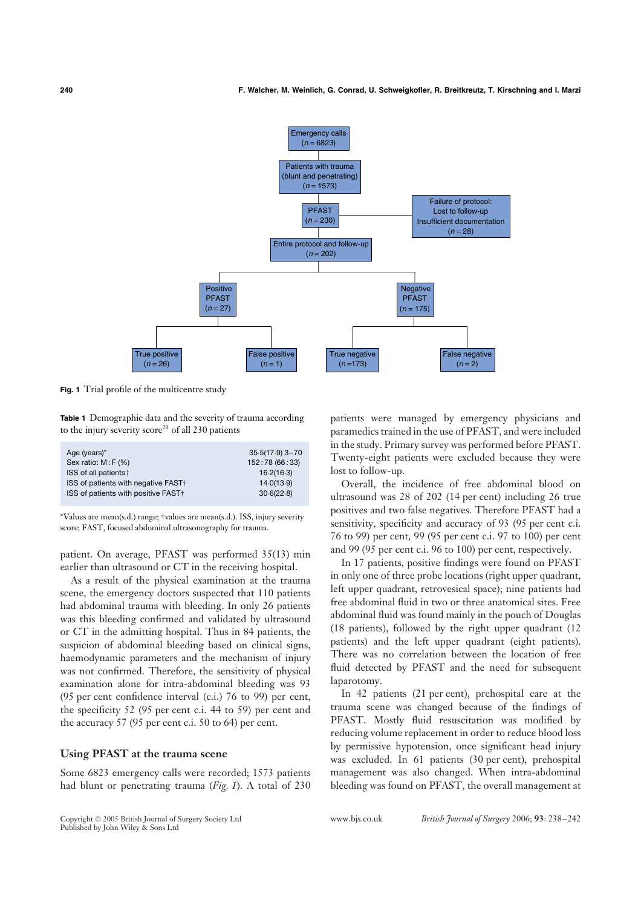

**Fig. 1** Trial profile of the multicentre study

**Table 1** Demographic data and the severity of trauma according to the injury severity score<sup>20</sup> of all 230 patients

| Age (years)*                                    | $35.5(17.9)$ 3-70 |
|-------------------------------------------------|-------------------|
| Sex ratio: $M: F$ (%)                           | 152:78 (66:33)    |
| ISS of all patients†                            | 16.2(16.3)        |
| ISS of patients with negative FAST <sup>†</sup> | 14.0(13.9)        |
| ISS of patients with positive FAST <sup>+</sup> | 30.6(22.8)        |

\*Values are mean(s.d.) range; †values are mean(s.d.). ISS, injury severity score; FAST, focused abdominal ultrasonography for trauma.

patient. On average, PFAST was performed 35(13) min earlier than ultrasound or CT in the receiving hospital.

As a result of the physical examination at the trauma scene, the emergency doctors suspected that 110 patients had abdominal trauma with bleeding. In only 26 patients was this bleeding confirmed and validated by ultrasound or CT in the admitting hospital. Thus in 84 patients, the suspicion of abdominal bleeding based on clinical signs, haemodynamic parameters and the mechanism of injury was not confirmed. Therefore, the sensitivity of physical examination alone for intra-abdominal bleeding was 93 (95 per cent confidence interval (c.i.) 76 to 99) per cent, the specificity 52 (95 per cent c.i. 44 to 59) per cent and the accuracy 57 (95 per cent c.i. 50 to 64) per cent.

### **Using PFAST at the trauma scene**

Some 6823 emergency calls were recorded; 1573 patients had blunt or penetrating trauma (*Fig. 1*). A total of 230

patients were managed by emergency physicians and paramedics trained in the use of PFAST, and were included in the study. Primary survey was performed before PFAST. Twenty-eight patients were excluded because they were lost to follow-up.

Overall, the incidence of free abdominal blood on ultrasound was 28 of 202 (14 per cent) including 26 true positives and two false negatives. Therefore PFAST had a sensitivity, specificity and accuracy of 93 (95 per cent c.i. 76 to 99) per cent, 99 (95 per cent c.i. 97 to 100) per cent and 99 (95 per cent c.i. 96 to 100) per cent, respectively.

In 17 patients, positive findings were found on PFAST in only one of three probe locations (right upper quadrant, left upper quadrant, retrovesical space); nine patients had free abdominal fluid in two or three anatomical sites. Free abdominal fluid was found mainly in the pouch of Douglas (18 patients), followed by the right upper quadrant (12 patients) and the left upper quadrant (eight patients). There was no correlation between the location of free fluid detected by PFAST and the need for subsequent laparotomy.

In 42 patients (21 per cent), prehospital care at the trauma scene was changed because of the findings of PFAST. Mostly fluid resuscitation was modified by reducing volume replacement in order to reduce blood loss by permissive hypotension, once significant head injury was excluded. In 61 patients (30 per cent), prehospital management was also changed. When intra-abdominal bleeding was found on PFAST, the overall management at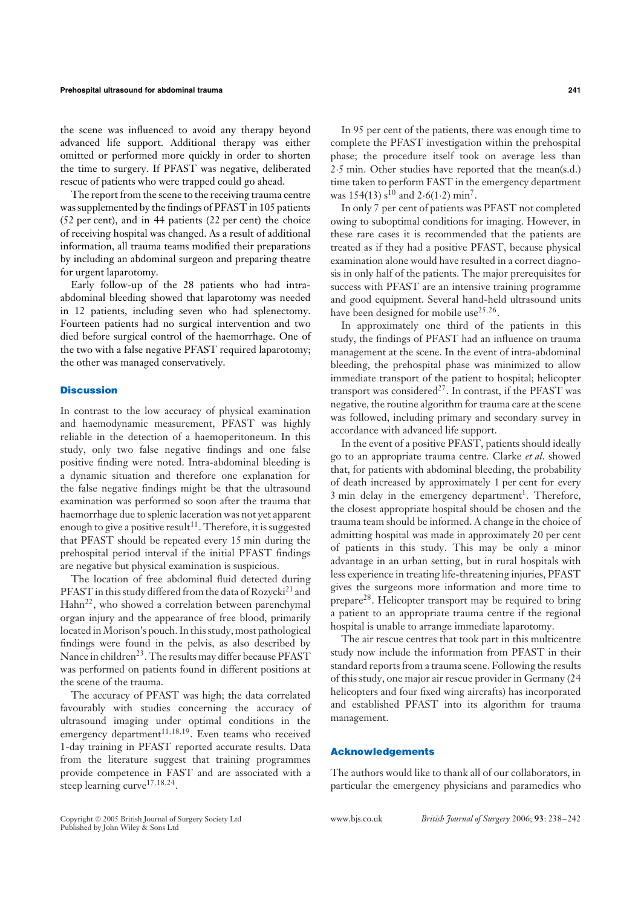#### **Prehospital ultrasound for abdominal trauma 241**

the scene was influenced to avoid any therapy beyond advanced life support. Additional therapy was either omitted or performed more quickly in order to shorten the time to surgery. If PFAST was negative, deliberated rescue of patients who were trapped could go ahead.

The report from the scene to the receiving trauma centre was supplemented by the findings of PFAST in 105 patients (52 per cent), and in 44 patients (22 per cent) the choice of receiving hospital was changed. As a result of additional information, all trauma teams modified their preparations by including an abdominal surgeon and preparing theatre for urgent laparotomy.

Early follow-up of the 28 patients who had intraabdominal bleeding showed that laparotomy was needed in 12 patients, including seven who had splenectomy. Fourteen patients had no surgical intervention and two died before surgical control of the haemorrhage. One of the two with a false negative PFAST required laparotomy; the other was managed conservatively.

#### **Discussion**

In contrast to the low accuracy of physical examination and haemodynamic measurement, PFAST was highly reliable in the detection of a haemoperitoneum. In this study, only two false negative findings and one false positive finding were noted. Intra-abdominal bleeding is a dynamic situation and therefore one explanation for the false negative findings might be that the ultrasound examination was performed so soon after the trauma that haemorrhage due to splenic laceration was not yet apparent enough to give a positive result<sup>11</sup>. Therefore, it is suggested that PFAST should be repeated every 15 min during the prehospital period interval if the initial PFAST findings are negative but physical examination is suspicious.

The location of free abdominal fluid detected during PFAST in this study differed from the data of  $Rozycki^{21}$  and  $\text{Hahn}^{22}$ , who showed a correlation between parenchymal organ injury and the appearance of free blood, primarily located in Morison's pouch. In this study, most pathological findings were found in the pelvis, as also described by Nance in children<sup>23</sup>. The results may differ because PFAST was performed on patients found in different positions at the scene of the trauma.

The accuracy of PFAST was high; the data correlated favourably with studies concerning the accuracy of ultrasound imaging under optimal conditions in the emergency department<sup>11,18,19</sup>. Even teams who received 1-day training in PFAST reported accurate results. Data from the literature suggest that training programmes provide competence in FAST and are associated with a steep learning curve<sup>17,18,24</sup>.

In 95 per cent of the patients, there was enough time to complete the PFAST investigation within the prehospital phase; the procedure itself took on average less than 2·5 min. Other studies have reported that the mean(s.d.) time taken to perform FAST in the emergency department was  $154(13) s^{10}$  and  $2.6(1.2)$  min<sup>7</sup>.

In only 7 per cent of patients was PFAST not completed owing to suboptimal conditions for imaging. However, in these rare cases it is recommended that the patients are treated as if they had a positive PFAST, because physical examination alone would have resulted in a correct diagnosis in only half of the patients. The major prerequisites for success with PFAST are an intensive training programme and good equipment. Several hand-held ultrasound units have been designed for mobile use $25,26$ .

In approximately one third of the patients in this study, the findings of PFAST had an influence on trauma management at the scene. In the event of intra-abdominal bleeding, the prehospital phase was minimized to allow immediate transport of the patient to hospital; helicopter transport was considered<sup>27</sup>. In contrast, if the PFAST was negative, the routine algorithm for trauma care at the scene was followed, including primary and secondary survey in accordance with advanced life support.

In the event of a positive PFAST, patients should ideally go to an appropriate trauma centre. Clarke *et al*. showed that, for patients with abdominal bleeding, the probability of death increased by approximately 1 per cent for every 3 min delay in the emergency department<sup>1</sup>. Therefore, the closest appropriate hospital should be chosen and the trauma team should be informed. A change in the choice of admitting hospital was made in approximately 20 per cent of patients in this study. This may be only a minor advantage in an urban setting, but in rural hospitals with less experience in treating life-threatening injuries, PFAST gives the surgeons more information and more time to prepare<sup>28</sup>. Helicopter transport may be required to bring a patient to an appropriate trauma centre if the regional hospital is unable to arrange immediate laparotomy.

The air rescue centres that took part in this multicentre study now include the information from PFAST in their standard reports from a trauma scene. Following the results of this study, one major air rescue provider in Germany (24 helicopters and four fixed wing aircrafts) has incorporated and established PFAST into its algorithm for trauma management.

#### Acknowledgements

The authors would like to thank all of our collaborators, in particular the emergency physicians and paramedics who

Published by John Wiley & Sons Ltd